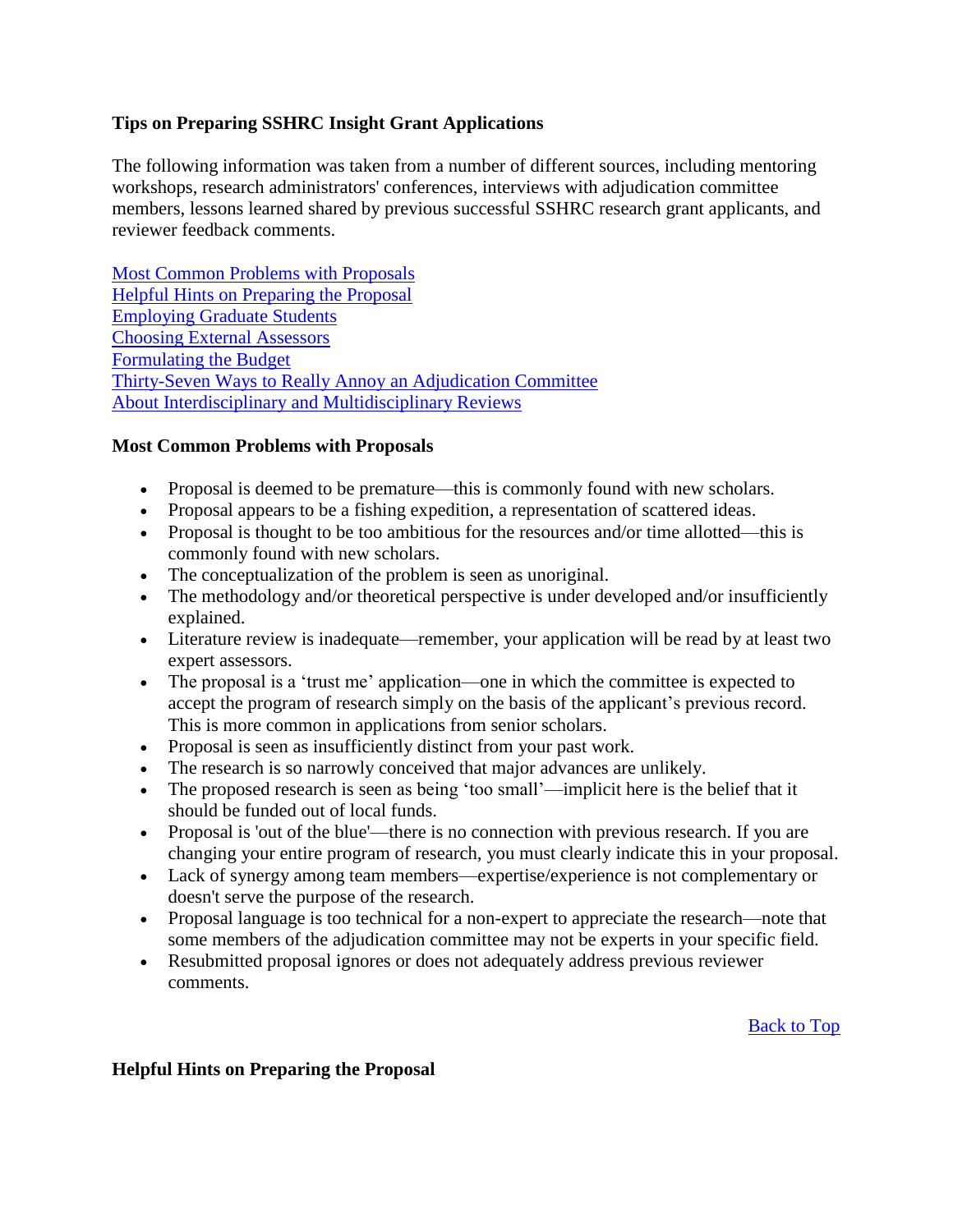### <span id="page-0-2"></span>**Tips on Preparing SSHRC Insight Grant Applications**

The following information was taken from a number of different sources, including mentoring workshops, research administrators' conferences, interviews with adjudication committee members, lessons learned shared by previous successful SSHRC research grant applicants, and reviewer feedback comments.

[Most Common Problems with Proposals](#page-0-0) [Helpful Hints on Preparing the Proposal](#page-0-1) [Employing Graduate Students](#page-2-0) [Choosing External Assessors](#page-2-1) [Formulating the Budget](#page-3-0) [Thirty-Seven Ways to Really Annoy an Adjudication Committee](#page-4-0) [About Interdisciplinary and Multidisciplinary Reviews](#page-5-0)

#### <span id="page-0-0"></span>**Most Common Problems with Proposals**

- Proposal is deemed to be premature—this is commonly found with new scholars.
- Proposal appears to be a fishing expedition, a representation of scattered ideas.
- Proposal is thought to be too ambitious for the resources and/or time allotted—this is commonly found with new scholars.
- The conceptualization of the problem is seen as unoriginal.
- The methodology and/or theoretical perspective is under developed and/or insufficiently explained.
- Literature review is inadequate—remember, your application will be read by at least two expert assessors.
- The proposal is a 'trust me' application—one in which the committee is expected to accept the program of research simply on the basis of the applicant's previous record. This is more common in applications from senior scholars.
- Proposal is seen as insufficiently distinct from your past work.
- The research is so narrowly conceived that major advances are unlikely.
- The proposed research is seen as being 'too small'—implicit here is the belief that it should be funded out of local funds.
- Proposal is 'out of the blue'—there is no connection with previous research. If you are changing your entire program of research, you must clearly indicate this in your proposal.
- Lack of synergy among team members—expertise/experience is not complementary or doesn't serve the purpose of the research.
- Proposal language is too technical for a non-expert to appreciate the research—note that some members of the adjudication committee may not be experts in your specific field.
- Resubmitted proposal ignores or does not adequately address previous reviewer comments.

[Back to Top](#page-0-2)

#### <span id="page-0-1"></span>**Helpful Hints on Preparing the Proposal**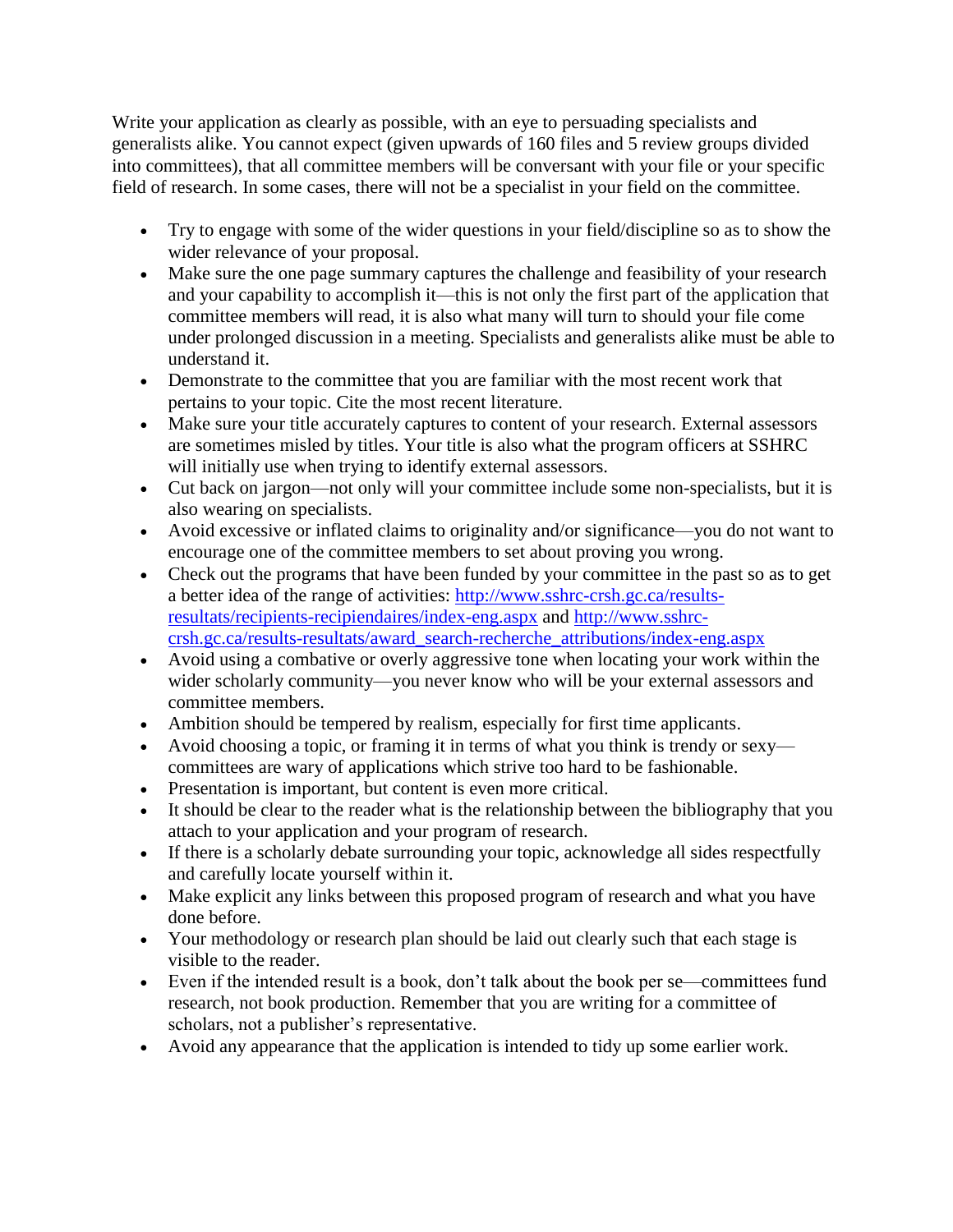Write your application as clearly as possible, with an eye to persuading specialists and generalists alike. You cannot expect (given upwards of 160 files and 5 review groups divided into committees), that all committee members will be conversant with your file or your specific field of research. In some cases, there will not be a specialist in your field on the committee.

- Try to engage with some of the wider questions in your field/discipline so as to show the wider relevance of your proposal.
- Make sure the one page summary captures the challenge and feasibility of your research and your capability to accomplish it—this is not only the first part of the application that committee members will read, it is also what many will turn to should your file come under prolonged discussion in a meeting. Specialists and generalists alike must be able to understand it.
- Demonstrate to the committee that you are familiar with the most recent work that pertains to your topic. Cite the most recent literature.
- Make sure your title accurately captures to content of your research. External assessors are sometimes misled by titles. Your title is also what the program officers at SSHRC will initially use when trying to identify external assessors.
- Cut back on jargon—not only will your committee include some non-specialists, but it is also wearing on specialists.
- Avoid excessive or inflated claims to originality and/or significance—you do not want to encourage one of the committee members to set about proving you wrong.
- Check out the programs that have been funded by your committee in the past so as to get a better idea of the range of activities: [http://www.sshrc-crsh.gc.ca/results](http://www.sshrc-crsh.gc.ca/results-resultats/recipients-recipiendaires/index-eng.aspx)[resultats/recipients-recipiendaires/index-eng.aspx](http://www.sshrc-crsh.gc.ca/results-resultats/recipients-recipiendaires/index-eng.aspx) and [http://www.sshrc](http://www.sshrc-crsh.gc.ca/results-resultats/award_search-recherche_attributions/index-eng.aspx)[crsh.gc.ca/results-resultats/award\\_search-recherche\\_attributions/index-eng.aspx](http://www.sshrc-crsh.gc.ca/results-resultats/award_search-recherche_attributions/index-eng.aspx)
- Avoid using a combative or overly aggressive tone when locating your work within the wider scholarly community—you never know who will be your external assessors and committee members.
- Ambition should be tempered by realism, especially for first time applicants.
- Avoid choosing a topic, or framing it in terms of what you think is trendy or sexy committees are wary of applications which strive too hard to be fashionable.
- Presentation is important, but content is even more critical.
- It should be clear to the reader what is the relationship between the bibliography that you attach to your application and your program of research.
- If there is a scholarly debate surrounding your topic, acknowledge all sides respectfully and carefully locate yourself within it.
- Make explicit any links between this proposed program of research and what you have done before.
- Your methodology or research plan should be laid out clearly such that each stage is visible to the reader.
- Even if the intended result is a book, don't talk about the book per se—committees fund research, not book production. Remember that you are writing for a committee of scholars, not a publisher's representative.
- Avoid any appearance that the application is intended to tidy up some earlier work.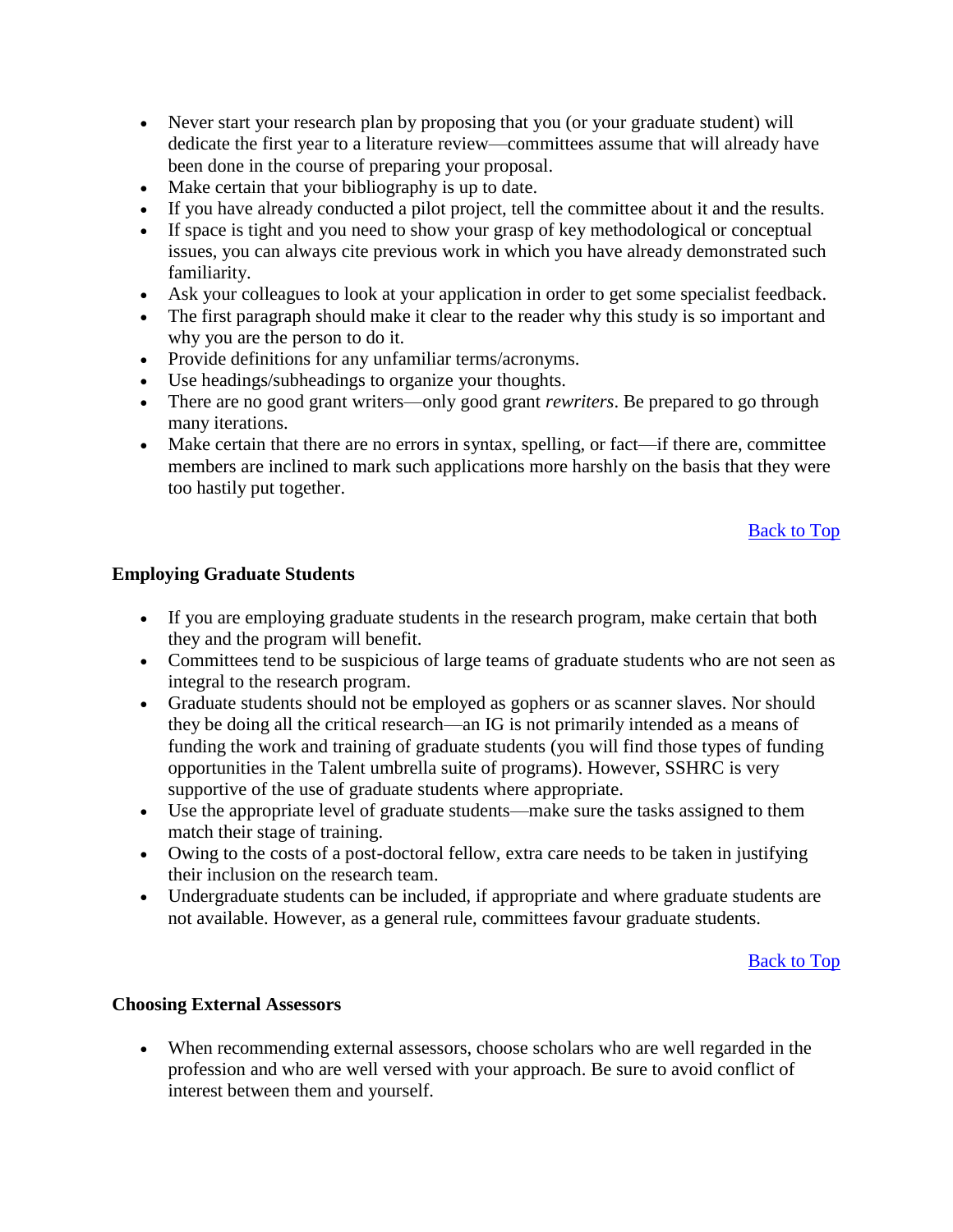- Never start your research plan by proposing that you (or your graduate student) will dedicate the first year to a literature review—committees assume that will already have been done in the course of preparing your proposal.
- Make certain that your bibliography is up to date.
- If you have already conducted a pilot project, tell the committee about it and the results.
- If space is tight and you need to show your grasp of key methodological or conceptual issues, you can always cite previous work in which you have already demonstrated such familiarity.
- Ask your colleagues to look at your application in order to get some specialist feedback.
- The first paragraph should make it clear to the reader why this study is so important and why you are the person to do it.
- Provide definitions for any unfamiliar terms/acronyms.
- Use headings/subheadings to organize your thoughts.
- There are no good grant writers—only good grant *rewriters*. Be prepared to go through many iterations.
- Make certain that there are no errors in syntax, spelling, or fact—if there are, committee members are inclined to mark such applications more harshly on the basis that they were too hastily put together.

### <span id="page-2-0"></span>**Employing Graduate Students**

- If you are employing graduate students in the research program, make certain that both they and the program will benefit.
- Committees tend to be suspicious of large teams of graduate students who are not seen as integral to the research program.
- Graduate students should not be employed as gophers or as scanner slaves. Nor should they be doing all the critical research—an IG is not primarily intended as a means of funding the work and training of graduate students (you will find those types of funding opportunities in the Talent umbrella suite of programs). However, SSHRC is very supportive of the use of graduate students where appropriate.
- Use the appropriate level of graduate students—make sure the tasks assigned to them match their stage of training.
- Owing to the costs of a post-doctoral fellow, extra care needs to be taken in justifying their inclusion on the research team.
- Undergraduate students can be included, if appropriate and where graduate students are not available. However, as a general rule, committees favour graduate students.

### [Back to Top](#page-0-2)

### <span id="page-2-1"></span>**Choosing External Assessors**

 When recommending external assessors, choose scholars who are well regarded in the profession and who are well versed with your approach. Be sure to avoid conflict of interest between them and yourself.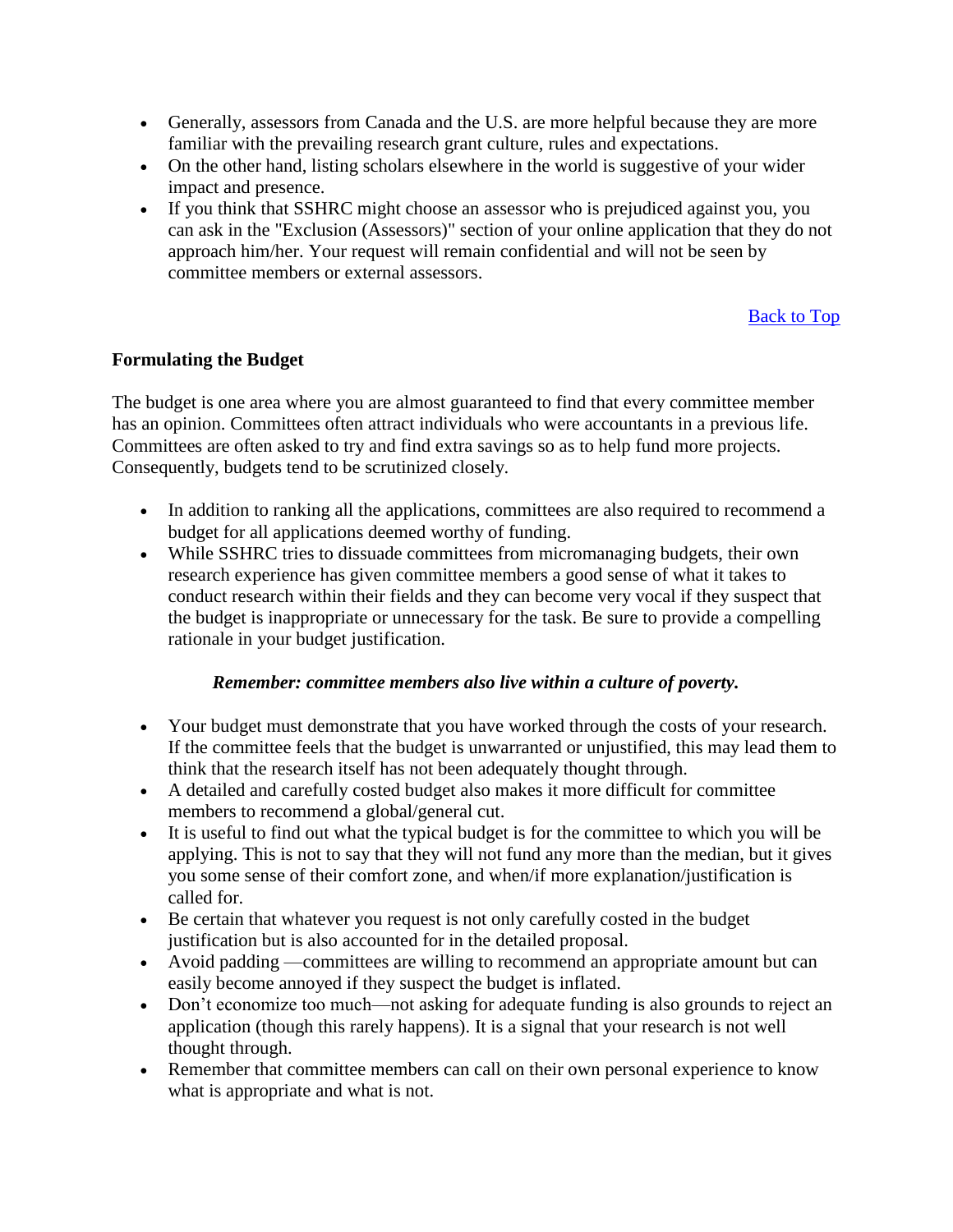- Generally, assessors from Canada and the U.S. are more helpful because they are more familiar with the prevailing research grant culture, rules and expectations.
- On the other hand, listing scholars elsewhere in the world is suggestive of your wider impact and presence.
- If you think that SSHRC might choose an assessor who is prejudiced against you, you can ask in the "Exclusion (Assessors)" section of your online application that they do not approach him/her. Your request will remain confidential and will not be seen by committee members or external assessors.

### <span id="page-3-0"></span>**Formulating the Budget**

The budget is one area where you are almost guaranteed to find that every committee member has an opinion. Committees often attract individuals who were accountants in a previous life. Committees are often asked to try and find extra savings so as to help fund more projects. Consequently, budgets tend to be scrutinized closely.

- In addition to ranking all the applications, committees are also required to recommend a budget for all applications deemed worthy of funding.
- While SSHRC tries to dissuade committees from micromanaging budgets, their own research experience has given committee members a good sense of what it takes to conduct research within their fields and they can become very vocal if they suspect that the budget is inappropriate or unnecessary for the task. Be sure to provide a compelling rationale in your budget justification.

### *Remember: committee members also live within a culture of poverty.*

- Your budget must demonstrate that you have worked through the costs of your research. If the committee feels that the budget is unwarranted or unjustified, this may lead them to think that the research itself has not been adequately thought through.
- A detailed and carefully costed budget also makes it more difficult for committee members to recommend a global/general cut.
- It is useful to find out what the typical budget is for the committee to which you will be applying. This is not to say that they will not fund any more than the median, but it gives you some sense of their comfort zone, and when/if more explanation/justification is called for.
- Be certain that whatever you request is not only carefully costed in the budget justification but is also accounted for in the detailed proposal.
- Avoid padding —committees are willing to recommend an appropriate amount but can easily become annoyed if they suspect the budget is inflated.
- Don't economize too much—not asking for adequate funding is also grounds to reject an application (though this rarely happens). It is a signal that your research is not well thought through.
- Remember that committee members can call on their own personal experience to know what is appropriate and what is not.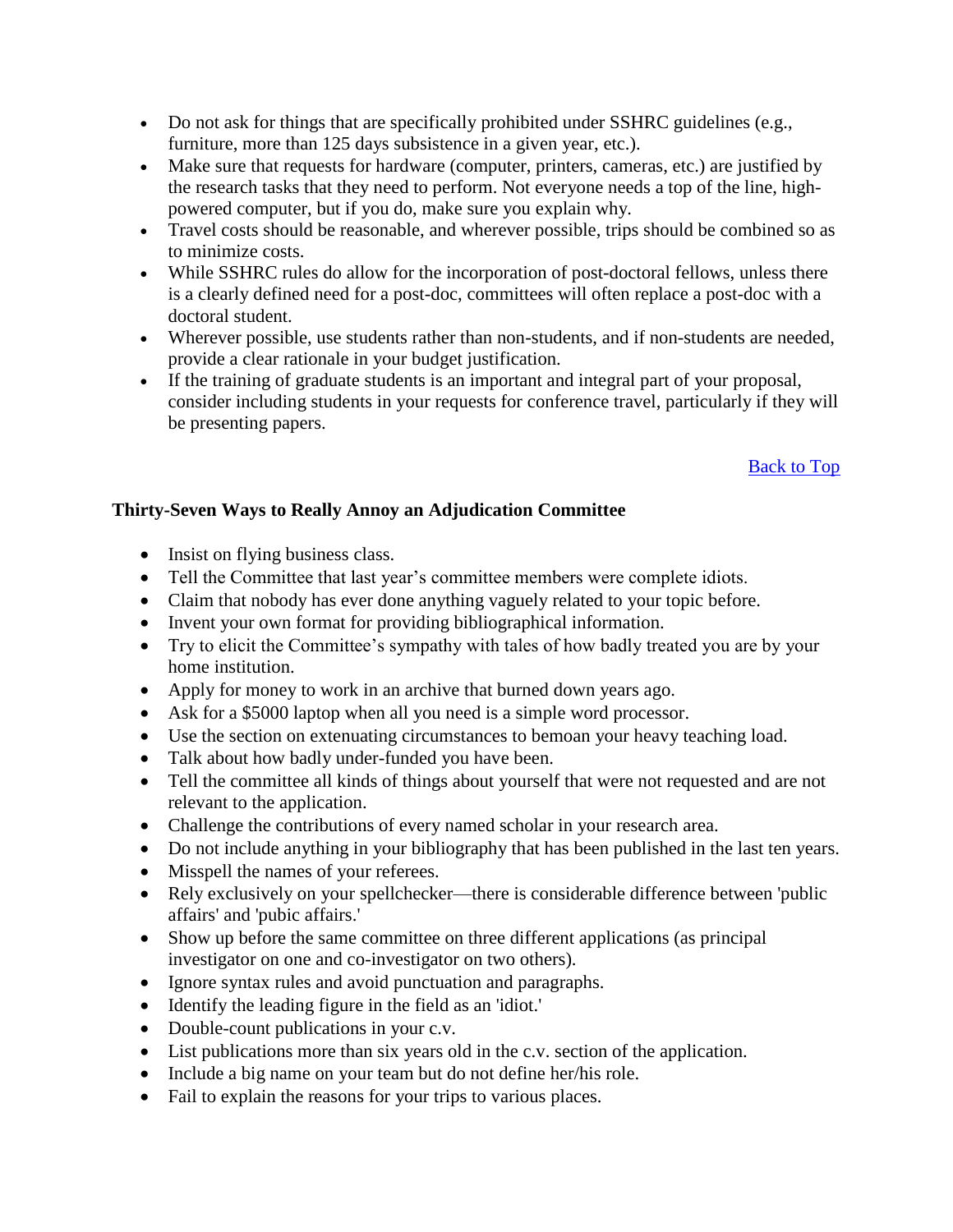- Do not ask for things that are specifically prohibited under SSHRC guidelines (e.g., furniture, more than 125 days subsistence in a given year, etc.).
- Make sure that requests for hardware (computer, printers, cameras, etc.) are justified by the research tasks that they need to perform. Not everyone needs a top of the line, highpowered computer, but if you do, make sure you explain why.
- Travel costs should be reasonable, and wherever possible, trips should be combined so as to minimize costs.
- While SSHRC rules do allow for the incorporation of post-doctoral fellows, unless there is a clearly defined need for a post-doc, committees will often replace a post-doc with a doctoral student.
- Wherever possible, use students rather than non-students, and if non-students are needed, provide a clear rationale in your budget justification.
- If the training of graduate students is an important and integral part of your proposal, consider including students in your requests for conference travel, particularly if they will be presenting papers.

# <span id="page-4-0"></span>**Thirty-Seven Ways to Really Annoy an Adjudication Committee**

- Insist on flying business class.
- Tell the Committee that last year's committee members were complete idiots.
- Claim that nobody has ever done anything vaguely related to your topic before.
- Invent your own format for providing bibliographical information.
- Try to elicit the Committee's sympathy with tales of how badly treated you are by your home institution.
- Apply for money to work in an archive that burned down years ago.
- Ask for a \$5000 laptop when all you need is a simple word processor.
- Use the section on extenuating circumstances to bemoan your heavy teaching load.
- Talk about how badly under-funded you have been.
- Tell the committee all kinds of things about yourself that were not requested and are not relevant to the application.
- Challenge the contributions of every named scholar in your research area.
- Do not include anything in your bibliography that has been published in the last ten years.
- Misspell the names of your referees.
- Rely exclusively on your spellchecker—there is considerable difference between 'public affairs' and 'pubic affairs.'
- Show up before the same committee on three different applications (as principal investigator on one and co-investigator on two others).
- Ignore syntax rules and avoid punctuation and paragraphs.
- Identify the leading figure in the field as an 'idiot.'
- Double-count publications in your c.v.
- List publications more than six years old in the c.v. section of the application.
- Include a big name on your team but do not define her/his role.
- Fail to explain the reasons for your trips to various places.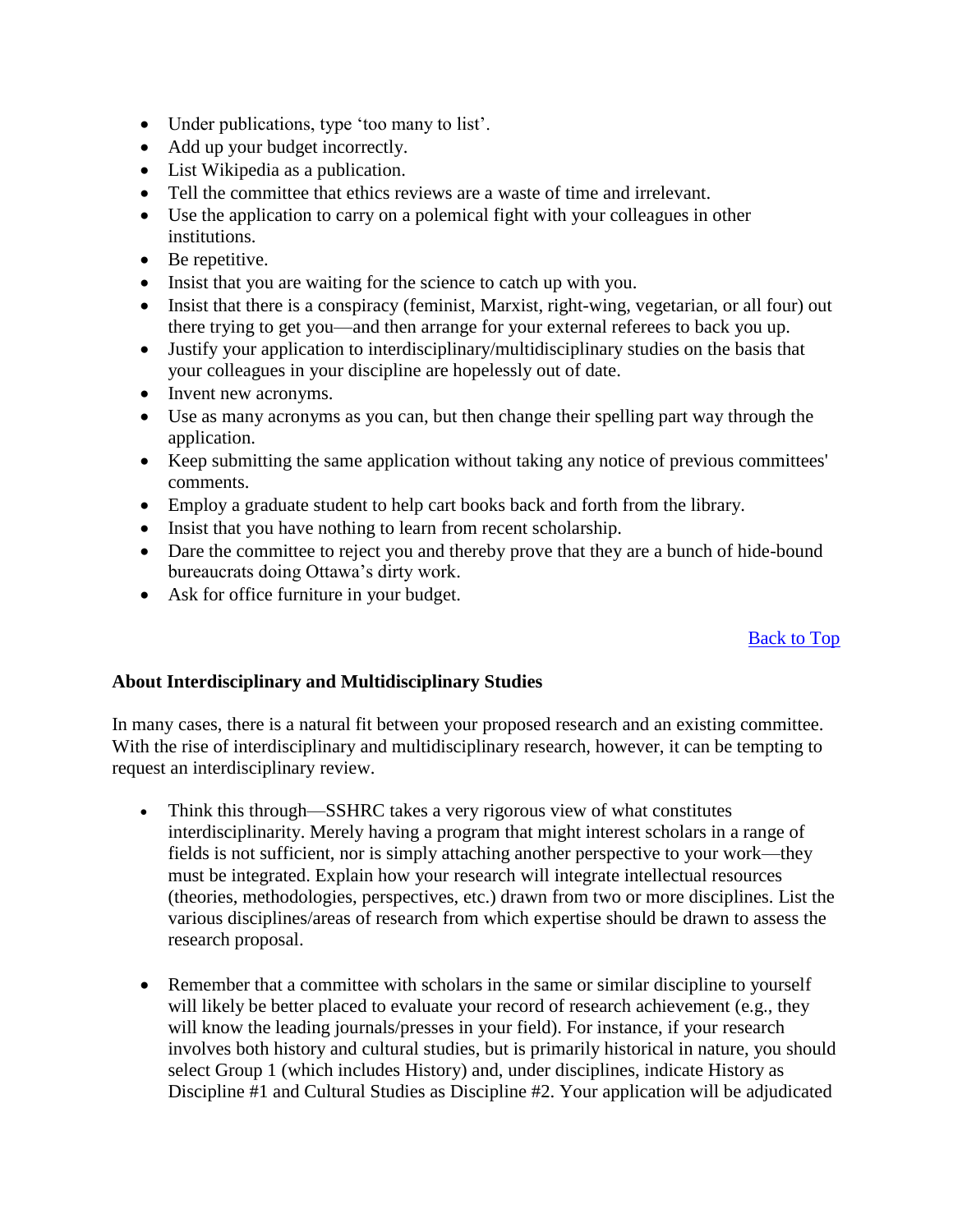- Under publications, type 'too many to list'.
- Add up your budget incorrectly.
- List Wikipedia as a publication.
- Tell the committee that ethics reviews are a waste of time and irrelevant.
- Use the application to carry on a polemical fight with your colleagues in other institutions.
- Be repetitive.
- Insist that you are waiting for the science to catch up with you.
- Insist that there is a conspiracy (feminist, Marxist, right-wing, vegetarian, or all four) out there trying to get you—and then arrange for your external referees to back you up.
- Justify your application to interdisciplinary/multidisciplinary studies on the basis that your colleagues in your discipline are hopelessly out of date.
- Invent new acronyms.
- Use as many acronyms as you can, but then change their spelling part way through the application.
- Keep submitting the same application without taking any notice of previous committees' comments.
- Employ a graduate student to help cart books back and forth from the library.
- Insist that you have nothing to learn from recent scholarship.
- Dare the committee to reject you and thereby prove that they are a bunch of hide-bound bureaucrats doing Ottawa's dirty work.
- Ask for office furniture in your budget.

### <span id="page-5-0"></span>**About Interdisciplinary and Multidisciplinary Studies**

In many cases, there is a natural fit between your proposed research and an existing committee. With the rise of interdisciplinary and multidisciplinary research, however, it can be tempting to request an interdisciplinary review.

- Think this through—SSHRC takes a very rigorous view of what constitutes interdisciplinarity. Merely having a program that might interest scholars in a range of fields is not sufficient, nor is simply attaching another perspective to your work—they must be integrated. Explain how your research will integrate intellectual resources (theories, methodologies, perspectives, etc.) drawn from two or more disciplines. List the various disciplines/areas of research from which expertise should be drawn to assess the research proposal.
- Remember that a committee with scholars in the same or similar discipline to yourself will likely be better placed to evaluate your record of research achievement (e.g., they will know the leading journals/presses in your field). For instance, if your research involves both history and cultural studies, but is primarily historical in nature, you should select Group 1 (which includes History) and, under disciplines, indicate History as Discipline #1 and Cultural Studies as Discipline #2. Your application will be adjudicated